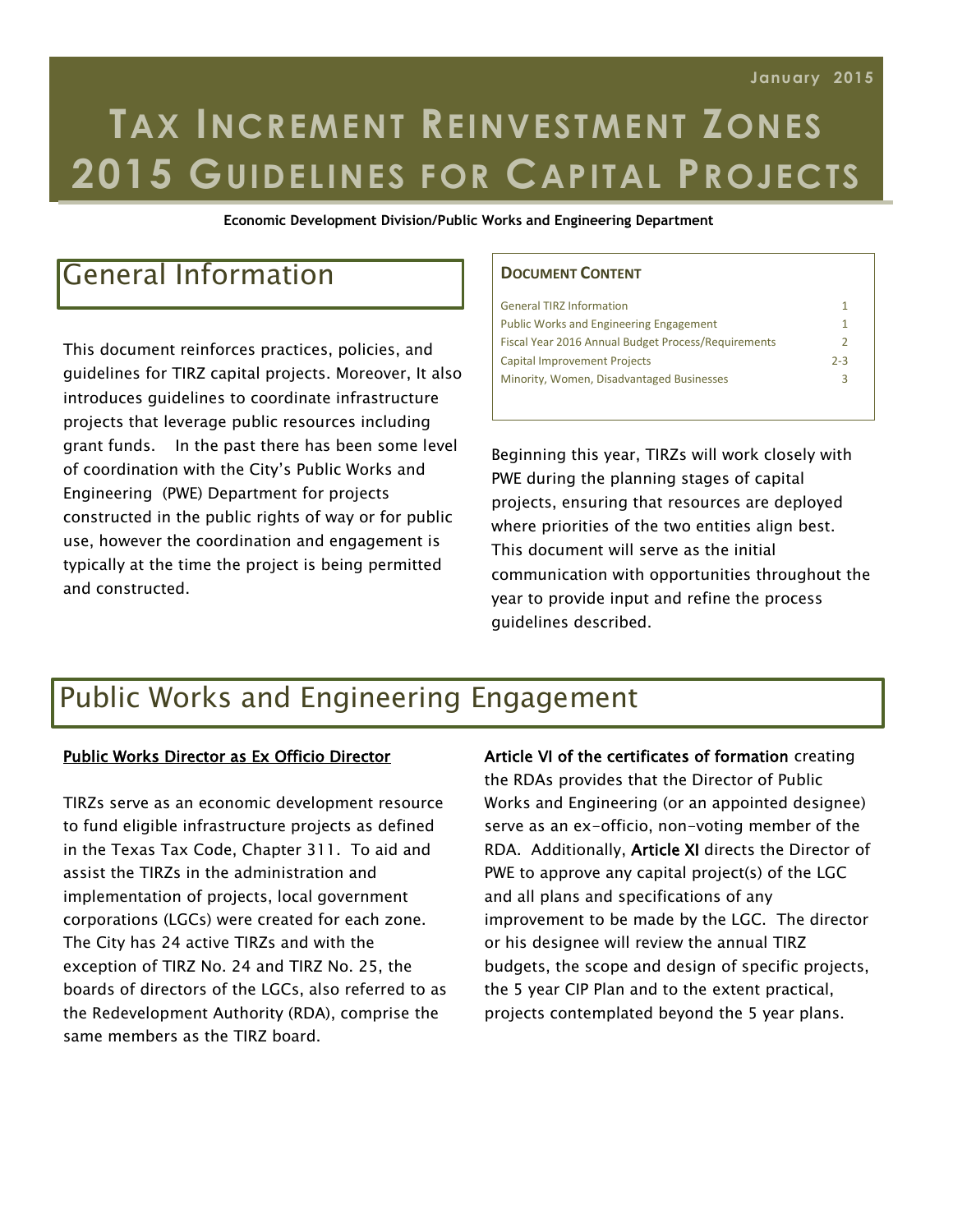# **TAX INCREMENT REINVESTMENT ZONES 2015 GUIDELINES FOR CAPITAL PROJECTS**

**Economic Development Division/Public Works and Engineering Department**

## General Information

This document reinforces practices, policies, and guidelines for TIRZ capital projects. Moreover, It also introduces guidelines to coordinate infrastructure projects that leverage public resources including grant funds. In the past there has been some level of coordination with the City's Public Works and Engineering (PWE) Department for projects constructed in the public rights of way or for public use, however the coordination and engagement is typically at the time the project is being permitted and constructed.

#### **DOCUMENT CONTENT**

| <b>General TIRZ Information</b>                     | 1             |  |
|-----------------------------------------------------|---------------|--|
| Public Works and Engineering Engagement             | 1             |  |
| Fiscal Year 2016 Annual Budget Process/Requirements | $\mathcal{L}$ |  |
| <b>Capital Improvement Projects</b>                 | $2 - 3$       |  |
| Minority, Women, Disadvantaged Businesses           | ₹             |  |
|                                                     |               |  |

Beginning this year, TIRZs will work closely with PWE during the planning stages of capital projects, ensuring that resources are deployed where priorities of the two entities align best. This document will serve as the initial communication with opportunities throughout the year to provide input and refine the process guidelines described.

# Public Works and Engineering Engagement

#### Public Works Director as Ex Officio Director

TIRZs serve as an economic development resource to fund eligible infrastructure projects as defined in the Texas Tax Code, Chapter 311. To aid and assist the TIRZs in the administration and implementation of projects, local government corporations (LGCs) were created for each zone. The City has 24 active TIRZs and with the exception of TIRZ No. 24 and TIRZ No. 25, the boards of directors of the LGCs, also referred to as the Redevelopment Authority (RDA), comprise the same members as the TIRZ board.

Article VI of the certificates of formation creating the RDAs provides that the Director of Public Works and Engineering (or an appointed designee) serve as an ex-officio, non-voting member of the RDA. Additionally, Article XI directs the Director of PWE to approve any capital project(s) of the LGC and all plans and specifications of any improvement to be made by the LGC. The director or his designee will review the annual TIRZ budgets, the scope and design of specific projects, the 5 year CIP Plan and to the extent practical, projects contemplated beyond the 5 year plans.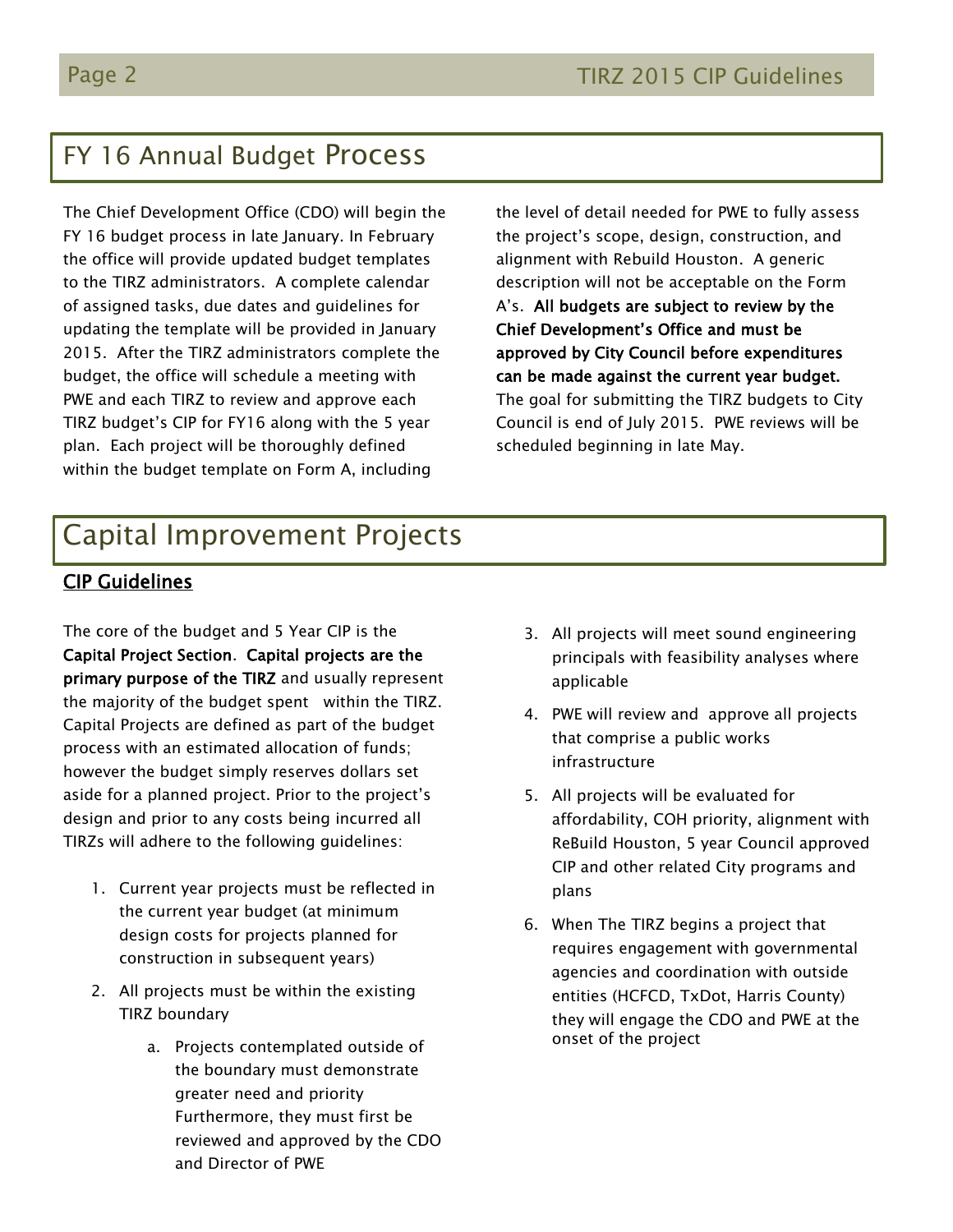#### FY 16 Annual Budget Process

The Chief Development Office (CDO) will begin the FY 16 budget process in late January. In February the office will provide updated budget templates to the TIRZ administrators. A complete calendar of assigned tasks, due dates and guidelines for updating the template will be provided in January 2015. After the TIRZ administrators complete the budget, the office will schedule a meeting with PWE and each TIRZ to review and approve each TIRZ budget's CIP for FY16 along with the 5 year plan. Each project will be thoroughly defined within the budget template on Form A, including

the level of detail needed for PWE to fully assess the project's scope, design, construction, and alignment with Rebuild Houston. A generic description will not be acceptable on the Form A's. All budgets are subject to review by the Chief Development's Office and must be approved by City Council before expenditures can be made against the current year budget. The goal for submitting the TIRZ budgets to City Council is end of July 2015. PWE reviews will be scheduled beginning in late May.

## Capital Improvement Projects

#### CIP Guidelines

The core of the budget and 5 Year CIP is the Capital Project Section. Capital projects are the primary purpose of the TIRZ and usually represent the majority of the budget spent within the TIRZ. Capital Projects are defined as part of the budget process with an estimated allocation of funds; however the budget simply reserves dollars set aside for a planned project. Prior to the project's design and prior to any costs being incurred all TIRZs will adhere to the following guidelines:

- 1. Current year projects must be reflected in the current year budget (at minimum design costs for projects planned for construction in subsequent years)
- 2. All projects must be within the existing TIRZ boundary
	- a. Projects contemplated outside of the boundary must demonstrate greater need and priority Furthermore, they must first be reviewed and approved by the CDO and Director of PWE
- 3. All projects will meet sound engineering principals with feasibility analyses where applicable
- 4. PWE will review and approve all projects that comprise a public works infrastructure
- 5. All projects will be evaluated for affordability, COH priority, alignment with ReBuild Houston, 5 year Council approved CIP and other related City programs and plans
- 6. When The TIRZ begins a project that requires engagement with governmental agencies and coordination with outside entities (HCFCD, TxDot, Harris County) they will engage the CDO and PWE at the onset of the project